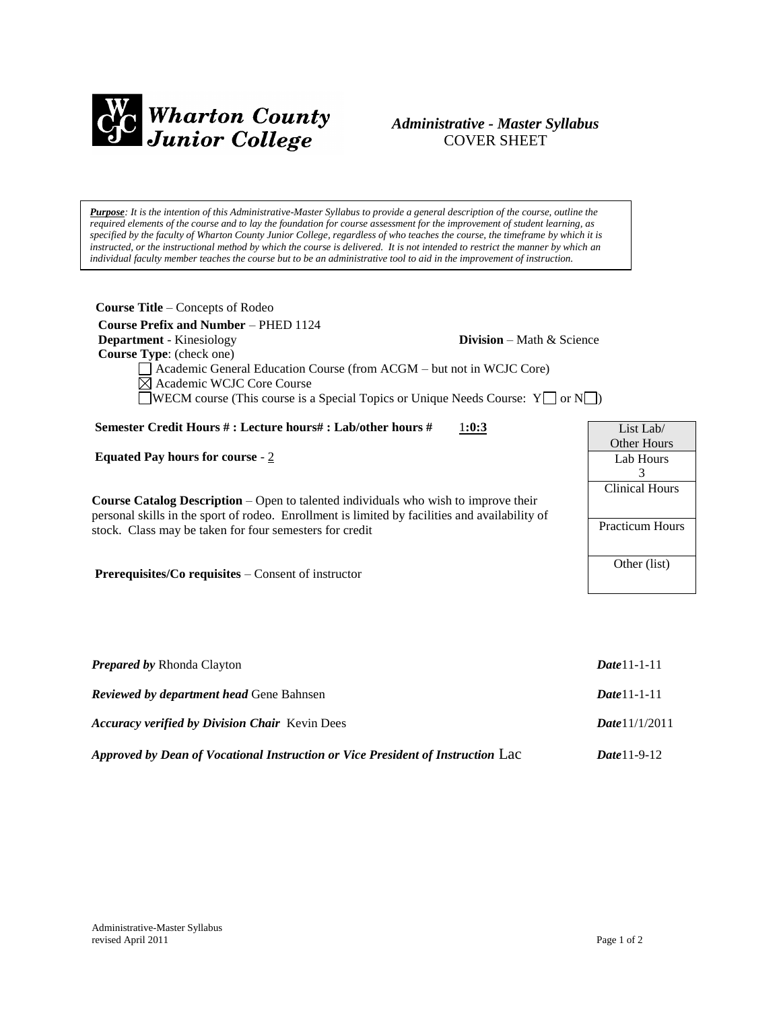

# *Administrative - Master Syllabus*  COVER SHEET

*Purpose: It is the intention of this Administrative-Master Syllabus to provide a general description of the course, outline the required elements of the course and to lay the foundation for course assessment for the improvement of student learning, as specified by the faculty of Wharton County Junior College, regardless of who teaches the course, the timeframe by which it is instructed, or the instructional method by which the course is delivered. It is not intended to restrict the manner by which an individual faculty member teaches the course but to be an administrative tool to aid in the improvement of instruction.*

| <b>Course Title</b> – Concepts of Rodeo                                                |                                     |                     |
|----------------------------------------------------------------------------------------|-------------------------------------|---------------------|
| <b>Course Prefix and Number – PHED 1124</b>                                            |                                     |                     |
| <b>Department</b> - Kinesiology                                                        | <b>Division</b> – Math $\&$ Science |                     |
| <b>Course Type:</b> (check one)                                                        |                                     |                     |
| Academic General Education Course (from ACGM - but not in WCJC Core)                   |                                     |                     |
| $\boxtimes$ Academic WCJC Core Course                                                  |                                     |                     |
| <b>NECM</b> course (This course is a Special Topics or Unique Needs Course: $Y \cap Y$ |                                     |                     |
|                                                                                        |                                     |                     |
| Semester Credit Hours #: Lecture hours#: Lab/other hours #                             | 1:0:3                               | List Lab $\sqrt{ }$ |
|                                                                                        |                                     | <b>Other Hours</b>  |
| Equated Pay hours for course $-2$                                                      |                                     | Lab Hours           |

**Course Catalog Description** – Open to talented individuals who wish to improve their personal skills in the sport of rodeo. Enrollment is limited by facilities and availability of stock. Class may be taken for four semesters for credit

**Prerequisites/Co requisites** – Consent of instructor

| <b>Prepared by Rhonda Clayton</b>                                               | $Date 11 - 1 - 11$  |
|---------------------------------------------------------------------------------|---------------------|
| <b>Reviewed by department head Gene Bahnsen</b>                                 | $Date 11 - 1 - 11$  |
| <b>Accuracy verified by Division Chair</b> Kevin Dees                           | Date 11/1/2011      |
| Approved by Dean of Vocational Instruction or Vice President of Instruction Lac | <b>Date</b> 11-9-12 |

3 Clinical Hours

Practicum Hours

Other (list)